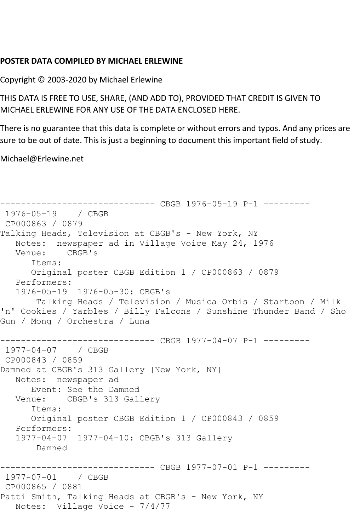## **POSTER DATA COMPILED BY MICHAEL ERLEWINE**

Copyright © 2003-2020 by Michael Erlewine

THIS DATA IS FREE TO USE, SHARE, (AND ADD TO), PROVIDED THAT CREDIT IS GIVEN TO MICHAEL ERLEWINE FOR ANY USE OF THE DATA ENCLOSED HERE.

There is no guarantee that this data is complete or without errors and typos. And any prices are sure to be out of date. This is just a beginning to document this important field of study.

Michael@Erlewine.net

```
------------------------------ CBGB 1976-05-19 P-1 ---------
1976-05-19 / CBGB 
CP000863 / 0879
Talking Heads, Television at CBGB's - New York, NY
   Notes: newspaper ad in Village Voice May 24, 1976
   Venue: CBGB's
      Items:
      Original poster CBGB Edition 1 / CP000863 / 0879
   Performers:
   1976-05-19 1976-05-30: CBGB's
       Talking Heads / Television / Musica Orbis / Startoon / Milk 
'n' Cookies / Yarbles / Billy Falcons / Sunshine Thunder Band / Sho 
Gun / Mong / Orchestra / Luna
------------------------------ CBGB 1977-04-07 P-1 ---------
1977-04-07 / CBGB 
CP000843 / 0859
Damned at CBGB's 313 Gallery [New York, NY]
   Notes: newspaper ad
      Event: See the Damned
   Venue: CBGB's 313 Gallery
      Items:
      Original poster CBGB Edition 1 / CP000843 / 0859
   Performers:
   1977-04-07 1977-04-10: CBGB's 313 Gallery
       Damned
------------------------------ CBGB 1977-07-01 P-1 ---------
1977-07-01 / CBGB 
CP000865 / 0881
Patti Smith, Talking Heads at CBGB's - New York, NY
   Notes: Village Voice - 7/4/77
```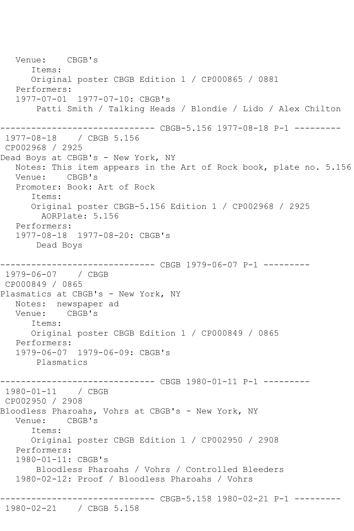Venue: CBGB's Items: Original poster CBGB Edition 1 / CP000865 / 0881 Performers: 1977-07-01 1977-07-10: CBGB's Patti Smith / Talking Heads / Blondie / Lido / Alex Chilton ------------------------------ CBGB-5.156 1977-08-18 P-1 --------- 1977-08-18 / CBGB 5.156 CP002968 / 2925 Dead Boys at CBGB's - New York, NY Notes: This item appears in the Art of Rock book, plate no. 5.156 Venue: CBGB's Promoter: Book: Art of Rock Items: Original poster CBGB-5.156 Edition 1 / CP002968 / 2925 AORPlate: 5.156 Performers: 1977-08-18 1977-08-20: CBGB's Dead Boys ------------------------------ CBGB 1979-06-07 P-1 --------- 1979-06-07 / CBGB CP000849 / 0865 Plasmatics at CBGB's - New York, NY Notes: newspaper ad<br>Venue: CBGB's CBGB's Items: Original poster CBGB Edition 1 / CP000849 / 0865 Performers: 1979-06-07 1979-06-09: CBGB's Plasmatics ------------------------------ CBGB 1980-01-11 P-1 --------- 1980-01-11 / CBGB CP002950 / 2908 Bloodless Pharoahs, Vohrs at CBGB's - New York, NY Venue: CBGB's Items: Original poster CBGB Edition 1 / CP002950 / 2908 Performers: 1980-01-11: CBGB's Bloodless Pharoahs / Vohrs / Controlled Bleeders 1980-02-12: Proof / Bloodless Pharoahs / Vohrs ------------------------------ CBGB-5.158 1980-02-21 P-1 --------- 1980-02-21 / CBGB 5.158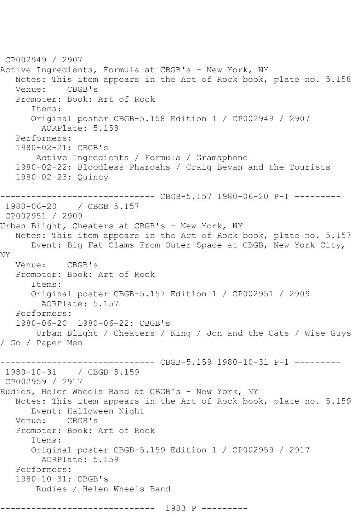CP002949 / 2907 Active Ingredients, Formula at CBGB's - New York, NY Notes: This item appears in the Art of Rock book, plate no. 5.158 Venue: CBGB's Promoter: Book: Art of Rock Items: Original poster CBGB-5.158 Edition 1 / CP002949 / 2907 AORPlate: 5.158 Performers: 1980-02-21: CBGB's Active Ingredients / Formula / Gramaphone 1980-02-22: Bloodless Pharoahs / Craig Bevan and the Tourists 1980-02-23: Quincy ---------- CBGB-5.157 1980-06-20 P-1 ---------1980-06-20 / CBGB 5.157 CP002951 / 2909 Urban Blight, Cheaters at CBGB's - New York, NY Notes: This item appears in the Art of Rock book, plate no. 5.157 Event: Big Fat Clams From Outer Space at CBGB, New York City, NY Venue: CBGB's Promoter: Book: Art of Rock Items: Original poster CBGB-5.157 Edition 1 / CP002951 / 2909 AORPlate: 5.157 Performers: 1980-06-20 1980-06-22: CBGB's Urban Blight / Cheaters / King / Jon and the Cats / Wise Guys / Go / Paper Men ------------------------------ CBGB-5.159 1980-10-31 P-1 --------- 1980-10-31 / CBGB 5.159 CP002959 / 2917 Rudies, Helen Wheels Band at CBGB's - New York, NY Notes: This item appears in the Art of Rock book, plate no. 5.159 Event: Halloween Night Venue: CBGB's Promoter: Book: Art of Rock Items: Original poster CBGB-5.159 Edition 1 / CP002959 / 2917 AORPlate: 5.159 Performers: 1980-10-31: CBGB's Rudies / Helen Wheels Band ------------------------------ 1983 P ---------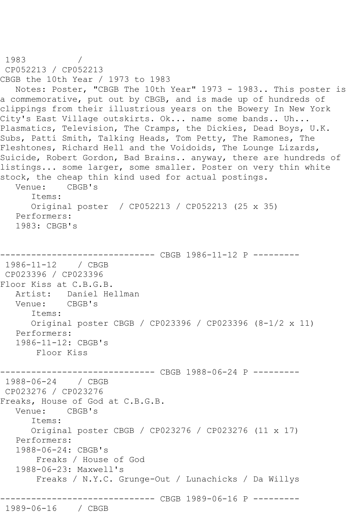```
1983 / 
CP052213 / CP052213
CBGB the 10th Year / 1973 to 1983
   Notes: Poster, "CBGB The 10th Year" 1973 - 1983.. This poster is 
a commemorative, put out by CBGB, and is made up of hundreds of 
clippings from their illustrious years on the Bowery In New York 
City's East Village outskirts. Ok... name some bands.. Uh... 
Plasmatics, Television, The Cramps, the Dickies, Dead Boys, U.K. 
Subs, Patti Smith, Talking Heads, Tom Petty, The Ramones, The 
Fleshtones, Richard Hell and the Voidoids, The Lounge Lizards, 
Suicide, Robert Gordon, Bad Brains.. anyway, there are hundreds of 
listings... some larger, some smaller. Poster on very thin white 
stock, the cheap thin kind used for actual postings.<br>Venue: CBGB's
           CBGB's
       Items:
       Original poster / CP052213 / CP052213 (25 x 35)
   Performers:
   1983: CBGB's
------------------------------ CBGB 1986-11-12 P ---------
1986-11-12 / CBGB 
CP023396 / CP023396
Floor Kiss at C.B.G.B.
  Artist: Daniel Hellman<br>Venue: CBGB's
  Venue:
       Items:
       Original poster CBGB / CP023396 / CP023396 (8-1/2 x 11)
   Performers:
    1986-11-12: CBGB's
        Floor Kiss
------------------------------ CBGB 1988-06-24 P ---------
1988-06-24 / CBGB 
CP023276 / CP023276
Freaks, House of God at C.B.G.B.
   Venue: CBGB's
       Items:
       Original poster CBGB / CP023276 / CP023276 (11 x 17)
   Performers:
    1988-06-24: CBGB's
        Freaks / House of God
    1988-06-23: Maxwell's
        Freaks / N.Y.C. Grunge-Out / Lunachicks / Da Willys
          ------------------------------ CBGB 1989-06-16 P ---------
1989-06-16 / CBGB
```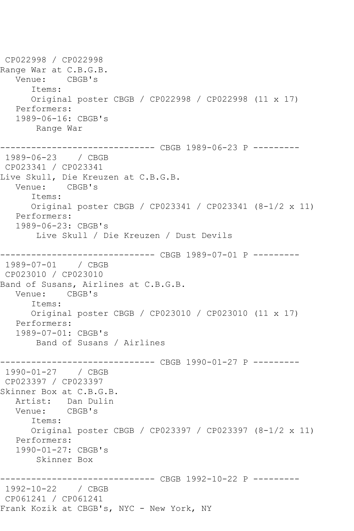CP022998 / CP022998 Range War at C.B.G.B. Venue: CBGB's Items: Original poster CBGB / CP022998 / CP022998 (11 x 17) Performers: 1989-06-16: CBGB's Range War ------------------------------ CBGB 1989-06-23 P --------- 1989-06-23 / CBGB CP023341 / CP023341 Live Skull, Die Kreuzen at C.B.G.B. Venue: CBGB's Items: Original poster CBGB / CP023341 / CP023341 (8-1/2 x 11) Performers: 1989-06-23: CBGB's Live Skull / Die Kreuzen / Dust Devils ------------------------------ CBGB 1989-07-01 P --------- 1989-07-01 / CBGB CP023010 / CP023010 Band of Susans, Airlines at C.B.G.B. Venue: CBGB's Items: Original poster CBGB / CP023010 / CP023010 (11 x 17) Performers: 1989-07-01: CBGB's Band of Susans / Airlines ------------------------------ CBGB 1990-01-27 P --------- 1990-01-27 / CBGB CP023397 / CP023397 Skinner Box at C.B.G.B. Artist: Dan Dulin Venue: CBGB's Items: Original poster CBGB / CP023397 / CP023397 (8-1/2 x 11) Performers: 1990-01-27: CBGB's Skinner Box ------------------------------ CBGB 1992-10-22 P --------- 1992-10-22 / CBGB CP061241 / CP061241 Frank Kozik at CBGB's, NYC - New York, NY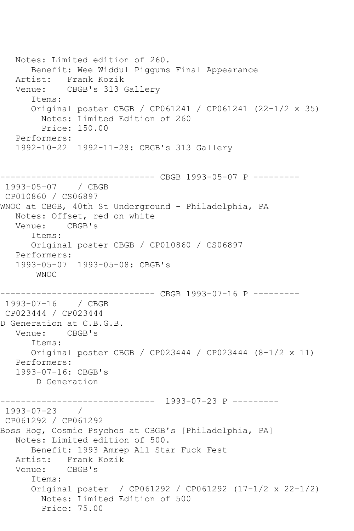Notes: Limited edition of 260. Benefit: Wee Widdul Piggums Final Appearance Artist: Frank Kozik Venue: CBGB's 313 Gallery Items: Original poster CBGB / CP061241 / CP061241 (22-1/2 x 35) Notes: Limited Edition of 260 Price: 150.00 Performers: 1992-10-22 1992-11-28: CBGB's 313 Gallery ------------------------------ CBGB 1993-05-07 P --------- 1993-05-07 / CBGB CP010860 / CS06897 WNOC at CBGB, 40th St Underground - Philadelphia, PA Notes: Offset, red on white Venue: CBGB's Items: Original poster CBGB / CP010860 / CS06897 Performers: 1993-05-07 1993-05-08: CBGB's WNOC ---------- CBGB 1993-07-16 P ---------1993-07-16 / CBGB CP023444 / CP023444 D Generation at C.B.G.B. Venue: CBGB's Items: Original poster CBGB / CP023444 / CP023444 (8-1/2 x 11) Performers: 1993-07-16: CBGB's D Generation ------------------------------ 1993-07-23 P --------- 1993-07-23 / CP061292 / CP061292 Boss Hog, Cosmic Psychos at CBGB's [Philadelphia, PA] Notes: Limited edition of 500. Benefit: 1993 Amrep All Star Fuck Fest Artist: Frank Kozik Venue: CBGB's Items: Original poster / CP061292 / CP061292 (17-1/2 x 22-1/2) Notes: Limited Edition of 500 Price: 75.00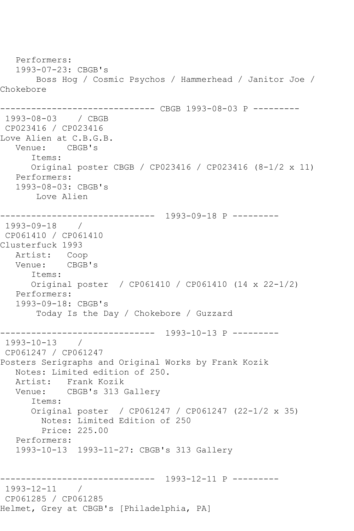Performers: 1993-07-23: CBGB's Boss Hog / Cosmic Psychos / Hammerhead / Janitor Joe / Chokebore ------------------------------ CBGB 1993-08-03 P --------- 1993-08-03 / CBGB CP023416 / CP023416 Love Alien at C.B.G.B. Venue: CBGB's Items: Original poster CBGB / CP023416 / CP023416 (8-1/2 x 11) Performers: 1993-08-03: CBGB's Love Alien ------------------------------ 1993-09-18 P --------- 1993-09-18 / CP061410 / CP061410 Clusterfuck 1993 Artist: Coop Venue: CBGB's Items: Original poster / CP061410 / CP061410 (14 x 22-1/2) Performers: 1993-09-18: CBGB's Today Is the Day / Chokebore / Guzzard ------------------------------ 1993-10-13 P --------- 1993-10-13 / CP061247 / CP061247 Posters Serigraphs and Original Works by Frank Kozik Notes: Limited edition of 250. Artist: Frank Kozik Venue: CBGB's 313 Gallery Items: Original poster / CP061247 / CP061247 (22-1/2 x 35) Notes: Limited Edition of 250 Price: 225.00 Performers: 1993-10-13 1993-11-27: CBGB's 313 Gallery ------------------------------ 1993-12-11 P --------- 1993-12-11 / CP061285 / CP061285 Helmet, Grey at CBGB's [Philadelphia, PA]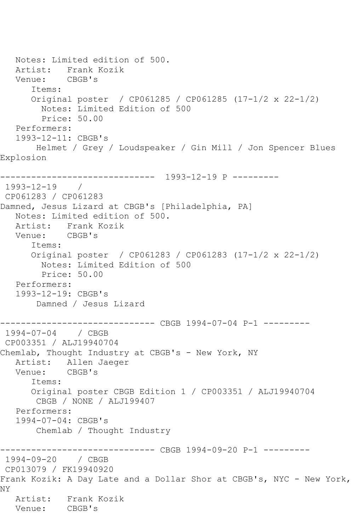Notes: Limited edition of 500. Artist: Frank Kozik Venue: CBGB's Items: Original poster / CP061285 / CP061285 (17-1/2 x 22-1/2) Notes: Limited Edition of 500 Price: 50.00 Performers: 1993-12-11: CBGB's Helmet / Grey / Loudspeaker / Gin Mill / Jon Spencer Blues Explosion ------------------------------ 1993-12-19 P --------- 1993-12-19 / CP061283 / CP061283 Damned, Jesus Lizard at CBGB's [Philadelphia, PA] Notes: Limited edition of 500. Artist: Frank Kozik Venue: CBGB's Items: Original poster / CP061283 / CP061283 (17-1/2 x 22-1/2) Notes: Limited Edition of 500 Price: 50.00 Performers: 1993-12-19: CBGB's Damned / Jesus Lizard ------------------------------ CBGB 1994-07-04 P-1 --------- 1994-07-04 / CBGB CP003351 / ALJ19940704 Chemlab, Thought Industry at CBGB's - New York, NY Artist: Allen Jaeger<br>Venue: CBGB's Venue: Items: Original poster CBGB Edition 1 / CP003351 / ALJ19940704 CBGB / NONE / ALJ199407 Performers: 1994-07-04: CBGB's Chemlab / Thought Industry ------------------------------ CBGB 1994-09-20 P-1 --------- 1994-09-20 / CBGB CP013079 / FK19940920 Frank Kozik: A Day Late and a Dollar Shor at CBGB's, NYC - New York, NY Artist: Frank Kozik<br>Venue: CBGB's Venue: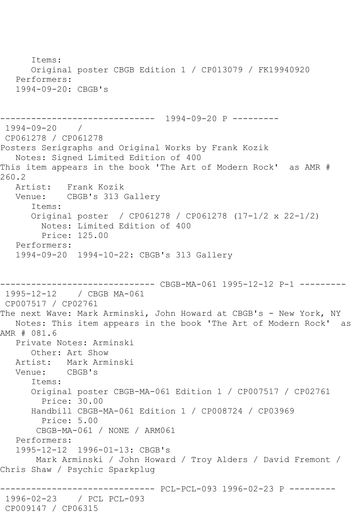Items: Original poster CBGB Edition 1 / CP013079 / FK19940920 Performers: 1994-09-20: CBGB's ------------------------------ 1994-09-20 P --------- 1994-09-20 / CP061278 / CP061278 Posters Serigraphs and Original Works by Frank Kozik Notes: Signed Limited Edition of 400 This item appears in the book 'The Art of Modern Rock' as AMR # 260.2<br>Artist: Frank Kozik Venue: CBGB's 313 Gallery Items: Original poster / CP061278 / CP061278 (17-1/2 x 22-1/2) Notes: Limited Edition of 400 Price: 125.00 Performers: 1994-09-20 1994-10-22: CBGB's 313 Gallery ------------------------------ CBGB-MA-061 1995-12-12 P-1 --------- 1995-12-12 / CBGB MA-061 CP007517 / CP02761 The next Wave: Mark Arminski, John Howard at CBGB's - New York, NY Notes: This item appears in the book 'The Art of Modern Rock' as AMR # 081.6 Private Notes: Arminski Other: Art Show<br>Artist: Mark Arm Mark Arminski<br>CBGB's Venue: Items: Original poster CBGB-MA-061 Edition 1 / CP007517 / CP02761 Price: 30.00 Handbill CBGB-MA-061 Edition 1 / CP008724 / CP03969 Price: 5.00 CBGB-MA-061 / NONE / ARM061 Performers: 1995-12-12 1996-01-13: CBGB's Mark Arminski / John Howard / Troy Alders / David Fremont / Chris Shaw / Psychic Sparkplug ------------------------------ PCL-PCL-093 1996-02-23 P --------- 1996-02-23 / PCL PCL-093 CP009147 / CP06315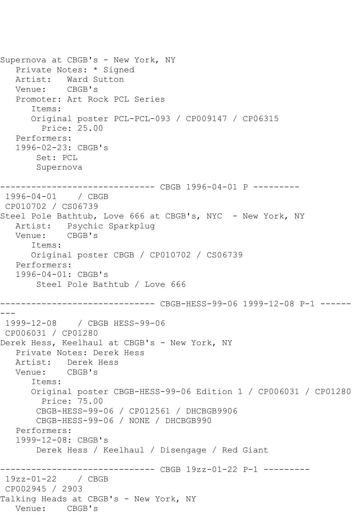```
Supernova at CBGB's - New York, NY
    Private Notes: * Signed
  Artist: Ward Sutton<br>Venue: CBGB's
  Venue:
    Promoter: Art Rock PCL Series
       Items:
       Original poster PCL-PCL-093 / CP009147 / CP06315
         Price: 25.00
   Performers:
    1996-02-23: CBGB's
        Set: PCL
        Supernova
------------------------------ CBGB 1996-04-01 P ---------
1996-04-01 / CBGB 
CP010702 / CS06739
Steel Pole Bathtub, Love 666 at CBGB's, NYC - New York, NY
   Artist: Psychic Sparkplug
   Venue: CBGB's
       Items:
       Original poster CBGB / CP010702 / CS06739
    Performers:
    1996-04-01: CBGB's
        Steel Pole Bathtub / Love 666
------------------------------ CBGB-HESS-99-06 1999-12-08 P-1 ------
---
 1999-12-08 / CBGB HESS-99-06
CP006031 / CP01280
Derek Hess, Keelhaul at CBGB's - New York, NY
   Private Notes: Derek Hess
  Artist: Derek Hess<br>Venue: CBGB's
           CBGB's
       Items:
       Original poster CBGB-HESS-99-06 Edition 1 / CP006031 / CP01280
         Price: 75.00
        CBGB-HESS-99-06 / CP012561 / DHCBGB9906
        CBGB-HESS-99-06 / NONE / DHCBGB990
   Performers:
    1999-12-08: CBGB's
        Derek Hess / Keelhaul / Disengage / Red Giant
                  ------------- CBGB 19zz-01-22 P-1 ----------
19zz-01-22 / CBGB 
CP002945 / 2903
Talking Heads at CBGB's - New York, NY
   Venue: CBGB's
```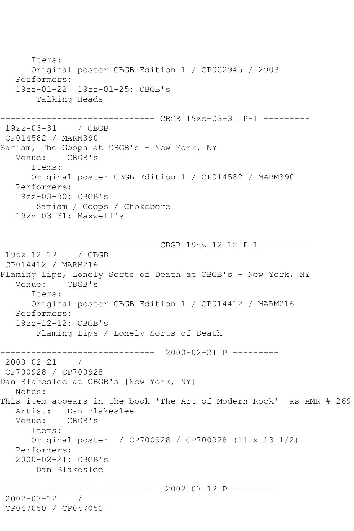```
 Items:
       Original poster CBGB Edition 1 / CP002945 / 2903
    Performers:
    19zz-01-22 19zz-01-25: CBGB's
        Talking Heads
------------------------------ CBGB 19zz-03-31 P-1 ---------
19zz-03-31 / CBGB 
CP014582 / MARM390
Samiam, The Goops at CBGB's - New York, NY<br>Venue: CBGB's
            CBGB's
       Items:
       Original poster CBGB Edition 1 / CP014582 / MARM390
   Performers:
    19zz-03-30: CBGB's
        Samiam / Goops / Chokebore
    19zz-03-31: Maxwell's
------------------------------ CBGB 19zz-12-12 P-1 ---------
19zz-12-12 / CBGB 
CP014412 / MARM216
Flaming Lips, Lonely Sorts of Death at CBGB's - New York, NY
   Venue: CBGB's
       Items:
       Original poster CBGB Edition 1 / CP014412 / MARM216
   Performers:
    19zz-12-12: CBGB's
        Flaming Lips / Lonely Sorts of Death
           ------------------------------ 2000-02-21 P ---------
2000-02-21 / 
CP700928 / CP700928
Dan Blakeslee at CBGB's [New York, NY]
   Notes: 
This item appears in the book 'The Art of Modern Rock' as AMR # 269
   Artist: Dan Blakeslee
   Venue: CBGB's
       Items:
       Original poster / CP700928 / CP700928 (11 x 13-1/2)
   Performers:
    2000-02-21: CBGB's
        Dan Blakeslee
                    ------------------------------ 2002-07-12 P ---------
2002-07-12 / 
CP047050 / CP047050
```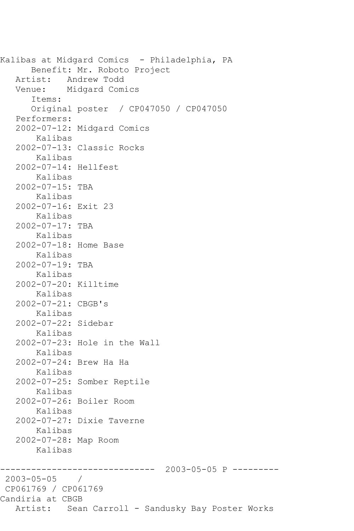Kalibas at Midgard Comics - Philadelphia, PA Benefit: Mr. Roboto Project Artist: Andrew Todd Venue: Midgard Comics Items: Original poster / CP047050 / CP047050 Performers: 2002-07-12: Midgard Comics Kalibas 2002-07-13: Classic Rocks Kalibas 2002-07-14: Hellfest Kalibas 2002-07-15: TBA Kalibas 2002-07-16: Exit 23 Kalibas 2002-07-17: TBA Kalibas 2002-07-18: Home Base Kalibas 2002-07-19: TBA Kalibas 2002-07-20: Killtime Kalibas 2002-07-21: CBGB's Kalibas 2002-07-22: Sidebar Kalibas 2002-07-23: Hole in the Wall Kalibas 2002-07-24: Brew Ha Ha Kalibas 2002-07-25: Somber Reptile Kalibas 2002-07-26: Boiler Room Kalibas 2002-07-27: Dixie Taverne Kalibas 2002-07-28: Map Room Kalibas ------------------------------ 2003-05-05 P --------- 2003-05-05 / CP061769 / CP061769 Candiria at CBGB Artist: Sean Carroll - Sandusky Bay Poster Works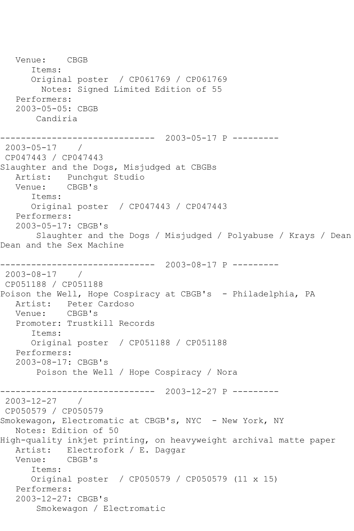Venue: CBGB Items: Original poster / CP061769 / CP061769 Notes: Signed Limited Edition of 55 Performers: 2003-05-05: CBGB Candiria ------------------------------ 2003-05-17 P --------- 2003-05-17 / CP047443 / CP047443 Slaughter and the Dogs, Misjudged at CBGBs Artist: Punchgut Studio Venue: CBGB's Items: Original poster / CP047443 / CP047443 Performers: 2003-05-17: CBGB's Slaughter and the Dogs / Misjudged / Polyabuse / Krays / Dean Dean and the Sex Machine ------------------------------ 2003-08-17 P --------- 2003-08-17 / CP051188 / CP051188 Poison the Well, Hope Cospiracy at CBGB's - Philadelphia, PA Artist: Peter Cardoso Venue: CBGB's Promoter: Trustkill Records Items: Original poster / CP051188 / CP051188 Performers: 2003-08-17: CBGB's Poison the Well / Hope Cospiracy / Nora ------------------------------ 2003-12-27 P --------- 2003-12-27 / CP050579 / CP050579 Smokewagon, Electromatic at CBGB's, NYC - New York, NY Notes: Edition of 50 High-quality inkjet printing, on heavyweight archival matte paper Artist: Electrofork / E. Daggar Venue: CBGB's Items: Original poster / CP050579 / CP050579 (11 x 15) Performers: 2003-12-27: CBGB's Smokewagon / Electromatic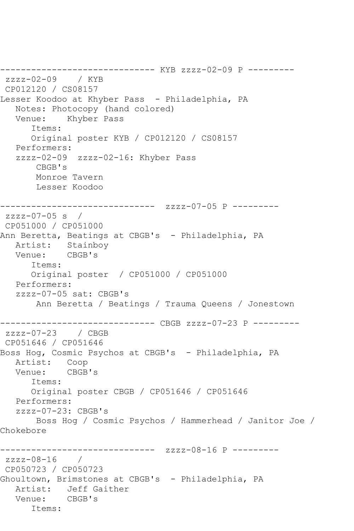------------------------------ KYB zzzz-02-09 P -------- zzzz-02-09 / KYB CP012120 / CS08157 Lesser Koodoo at Khyber Pass - Philadelphia, PA Notes: Photocopy (hand colored) Venue: Khyber Pass Items: Original poster KYB / CP012120 / CS08157 Performers: zzzz-02-09 zzzz-02-16: Khyber Pass CBGB's Monroe Tavern Lesser Koodoo ------------------------------ zzzz-07-05 P -------- zzzz-07-05 s / CP051000 / CP051000 Ann Beretta, Beatings at CBGB's - Philadelphia, PA Artist: Stainboy Venue: CBGB's Items: Original poster / CP051000 / CP051000 Performers: zzzz-07-05 sat: CBGB's Ann Beretta / Beatings / Trauma Queens / Jonestown ------------------------------ CBGB zzzz-07-23 P -------- zzzz-07-23 / CBGB CP051646 / CP051646 Boss Hog, Cosmic Psychos at CBGB's - Philadelphia, PA Artist: Coop<br>Venue: CBGB's Venue: Items: Original poster CBGB / CP051646 / CP051646 Performers: zzzz-07-23: CBGB's Boss Hog / Cosmic Psychos / Hammerhead / Janitor Joe / Chokebore ------------- zzzz-08-16 P --------zzzz-08-16 / CP050723 / CP050723 Ghoultown, Brimstones at CBGB's - Philadelphia, PA Artist: Jeff Gaither Venue: CBGB's Items: